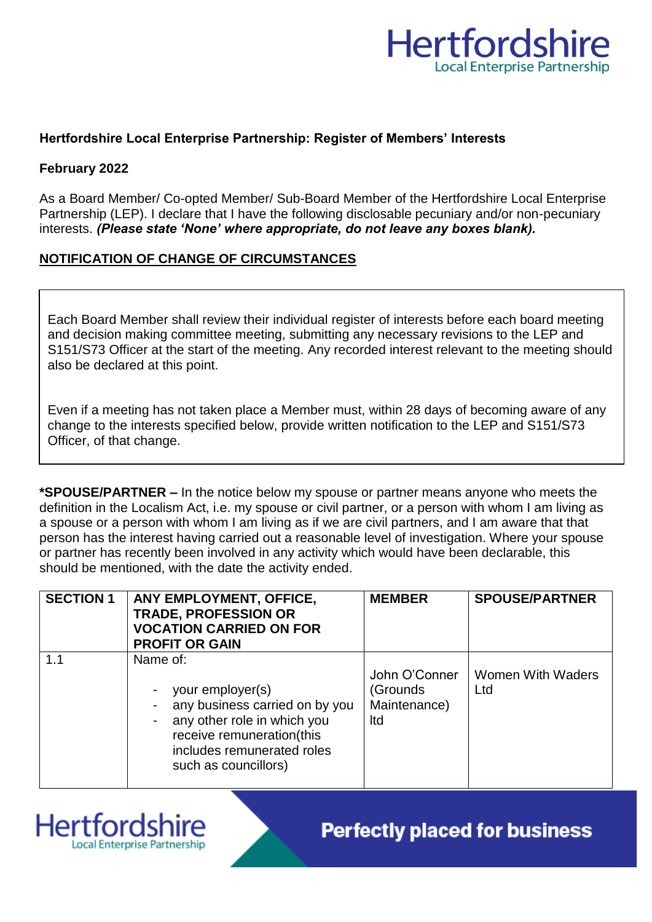

### **Hertfordshire Local Enterprise Partnership: Register of Members' Interests**

#### **February 2022**

As a Board Member/ Co-opted Member/ Sub-Board Member of the Hertfordshire Local Enterprise Partnership (LEP). I declare that I have the following disclosable pecuniary and/or non-pecuniary interests. *(Please state 'None' where appropriate, do not leave any boxes blank).*

# **NOTIFICATION OF CHANGE OF CIRCUMSTANCES**

Each Board Member shall review their individual register of interests before each board meeting and decision making committee meeting, submitting any necessary revisions to the LEP and S151/S73 Officer at the start of the meeting. Any recorded interest relevant to the meeting should also be declared at this point.

Even if a meeting has not taken place a Member must, within 28 days of becoming aware of any change to the interests specified below, provide written notification to the LEP and S151/S73 Officer, of that change.

**\*SPOUSE/PARTNER –** In the notice below my spouse or partner means anyone who meets the definition in the Localism Act, i.e. my spouse or civil partner, or a person with whom I am living as a spouse or a person with whom I am living as if we are civil partners, and I am aware that that person has the interest having carried out a reasonable level of investigation. Where your spouse or partner has recently been involved in any activity which would have been declarable, this should be mentioned, with the date the activity ended.

| <b>SECTION 1</b> | ANY EMPLOYMENT, OFFICE,<br><b>TRADE, PROFESSION OR</b><br><b>VOCATION CARRIED ON FOR</b><br><b>PROFIT OR GAIN</b>                                                                | <b>MEMBER</b>                                     | <b>SPOUSE/PARTNER</b>           |
|------------------|----------------------------------------------------------------------------------------------------------------------------------------------------------------------------------|---------------------------------------------------|---------------------------------|
| 1.1              | Name of:<br>your employer(s)<br>any business carried on by you<br>any other role in which you<br>receive remuneration(this<br>includes remunerated roles<br>such as councillors) | John O'Conner<br>(Grounds)<br>Maintenance)<br>Itd | <b>Women With Waders</b><br>Ltd |



**Perfectly placed for business**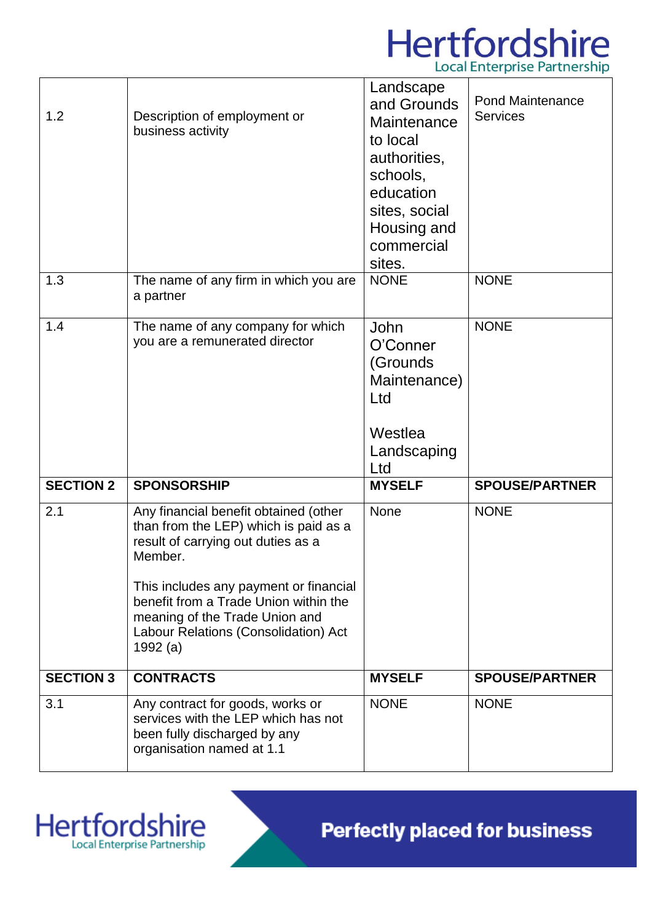# Hertfordshire **Local Enterprise Partnership**

| 1.2              | Description of employment or<br>business activity                                                                                                                                                                                                                                                          | Landscape<br>and Grounds<br>Maintenance<br>to local<br>authorities,<br>schools,<br>education<br>sites, social<br>Housing and<br>commercial<br>sites. | <b>Pond Maintenance</b><br><b>Services</b> |
|------------------|------------------------------------------------------------------------------------------------------------------------------------------------------------------------------------------------------------------------------------------------------------------------------------------------------------|------------------------------------------------------------------------------------------------------------------------------------------------------|--------------------------------------------|
| 1.3              | The name of any firm in which you are<br>a partner                                                                                                                                                                                                                                                         | <b>NONE</b>                                                                                                                                          | <b>NONE</b>                                |
| 1.4              | The name of any company for which<br>you are a remunerated director                                                                                                                                                                                                                                        | John<br>O'Conner<br>(Grounds<br>Maintenance)<br>Ltd<br>Westlea<br>Landscaping<br>Ltd                                                                 | <b>NONE</b>                                |
| <b>SECTION 2</b> | <b>SPONSORSHIP</b>                                                                                                                                                                                                                                                                                         | <b>MYSELF</b>                                                                                                                                        | <b>SPOUSE/PARTNER</b>                      |
| 2.1              | Any financial benefit obtained (other<br>than from the LEP) which is paid as a<br>result of carrying out duties as a<br>Member.<br>This includes any payment or financial<br>benefit from a Trade Union within the<br>meaning of the Trade Union and<br>Labour Relations (Consolidation) Act<br>1992 $(a)$ | None                                                                                                                                                 | <b>NONE</b>                                |
| <b>SECTION 3</b> | <b>CONTRACTS</b>                                                                                                                                                                                                                                                                                           | <b>MYSELF</b>                                                                                                                                        | <b>SPOUSE/PARTNER</b>                      |
| 3.1              | Any contract for goods, works or<br>services with the LEP which has not<br>been fully discharged by any<br>organisation named at 1.1                                                                                                                                                                       | <b>NONE</b>                                                                                                                                          | <b>NONE</b>                                |

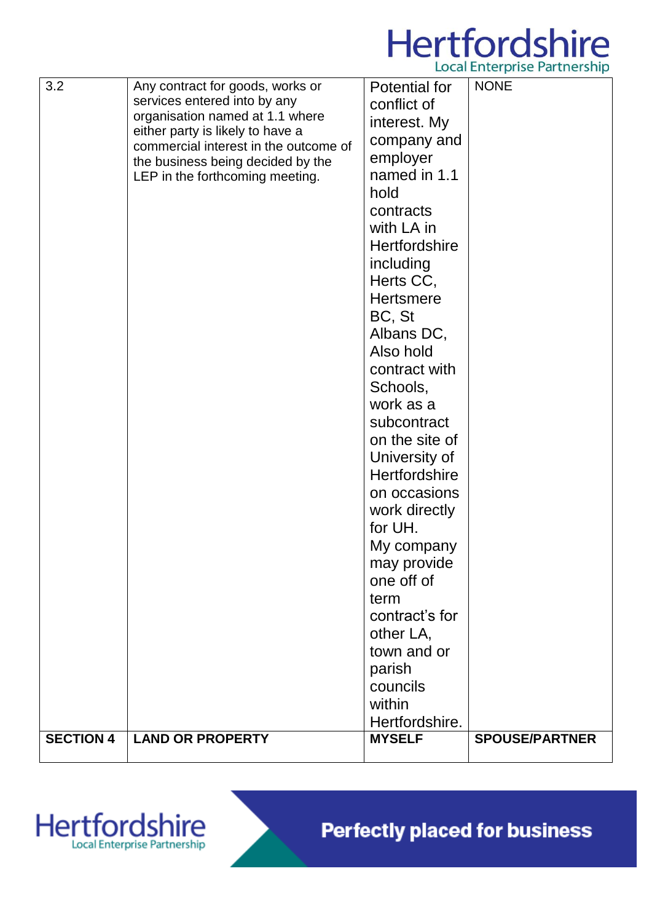

| 3.2              | Any contract for goods, works or<br>services entered into by any<br>organisation named at 1.1 where<br>either party is likely to have a<br>commercial interest in the outcome of<br>the business being decided by the<br>LEP in the forthcoming meeting. | Potential for<br>conflict of<br>interest. My<br>company and<br>employer<br>named in 1.1<br>hold<br>contracts<br>with LA in<br><b>Hertfordshire</b><br>including<br>Herts CC,<br><b>Hertsmere</b><br>BC, St<br>Albans DC,<br>Also hold<br>contract with<br>Schools,<br>work as a<br>subcontract<br>on the site of<br>University of | <b>NONE</b>           |
|------------------|----------------------------------------------------------------------------------------------------------------------------------------------------------------------------------------------------------------------------------------------------------|-----------------------------------------------------------------------------------------------------------------------------------------------------------------------------------------------------------------------------------------------------------------------------------------------------------------------------------|-----------------------|
| <b>SECTION 4</b> | <b>LAND OR PROPERTY</b>                                                                                                                                                                                                                                  | on occasions<br>work directly<br>for UH.<br>My company<br>may provide<br>one off of<br>term<br>contract's for<br>other LA,<br>town and or<br>parish<br>councils<br>within<br>Hertfordshire.<br><b>MYSELF</b>                                                                                                                      | <b>SPOUSE/PARTNER</b> |



**Perfectly placed for business**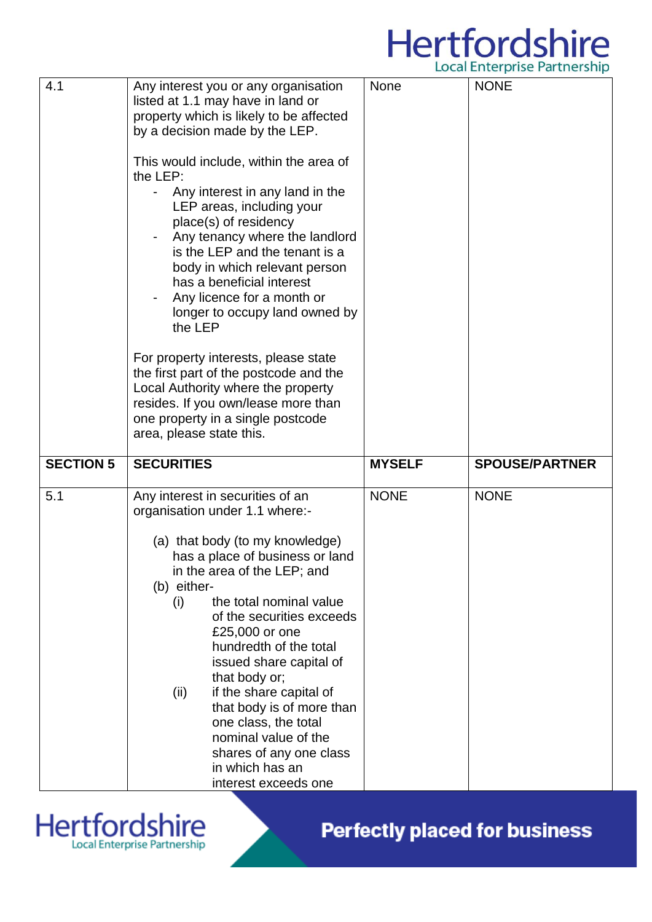# Hertfordshire

|                  |                                                                                                                                                                                                                                                                                                                                                                                                                                                                                                                                                                                                                                                                                                                                                    |               | Local Lifter prise Failure simp |
|------------------|----------------------------------------------------------------------------------------------------------------------------------------------------------------------------------------------------------------------------------------------------------------------------------------------------------------------------------------------------------------------------------------------------------------------------------------------------------------------------------------------------------------------------------------------------------------------------------------------------------------------------------------------------------------------------------------------------------------------------------------------------|---------------|---------------------------------|
| 4.1              | Any interest you or any organisation<br>listed at 1.1 may have in land or<br>property which is likely to be affected<br>by a decision made by the LEP.<br>This would include, within the area of<br>the LEP:<br>Any interest in any land in the<br>LEP areas, including your<br>place(s) of residency<br>Any tenancy where the landlord<br>is the LEP and the tenant is a<br>body in which relevant person<br>has a beneficial interest<br>Any licence for a month or<br>longer to occupy land owned by<br>the LEP<br>For property interests, please state<br>the first part of the postcode and the<br>Local Authority where the property<br>resides. If you own/lease more than<br>one property in a single postcode<br>area, please state this. | <b>None</b>   | <b>NONE</b>                     |
| <b>SECTION 5</b> | <b>SECURITIES</b>                                                                                                                                                                                                                                                                                                                                                                                                                                                                                                                                                                                                                                                                                                                                  | <b>MYSELF</b> | <b>SPOUSE/PARTNER</b>           |
| 5.1              | Any interest in securities of an<br>organisation under 1.1 where:-<br>(a) that body (to my knowledge)<br>has a place of business or land<br>in the area of the LEP; and<br>(b) either-<br>the total nominal value<br>(i)<br>of the securities exceeds<br>£25,000 or one<br>hundredth of the total<br>issued share capital of<br>that body or;<br>if the share capital of<br>(ii)<br>that body is of more than<br>one class, the total<br>nominal value of the<br>shares of any one class<br>in which has an<br>interest exceeds one                                                                                                                                                                                                                | <b>NONE</b>   | <b>NONE</b>                     |



**Perfectly placed for business**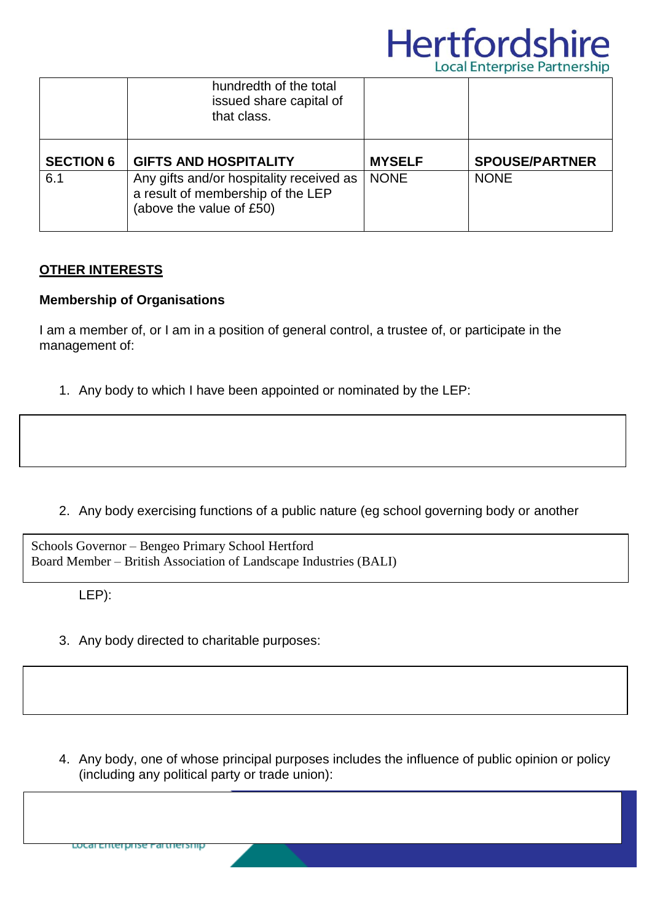

|                         | hundredth of the total<br>issued share capital of<br>that class.                                                                          |                              |                                      |
|-------------------------|-------------------------------------------------------------------------------------------------------------------------------------------|------------------------------|--------------------------------------|
| <b>SECTION 6</b><br>6.1 | <b>GIFTS AND HOSPITALITY</b><br>Any gifts and/or hospitality received as<br>a result of membership of the LEP<br>(above the value of £50) | <b>MYSELF</b><br><b>NONE</b> | <b>SPOUSE/PARTNER</b><br><b>NONE</b> |

#### **OTHER INTERESTS**

#### **Membership of Organisations**

I am a member of, or I am in a position of general control, a trustee of, or participate in the management of:

1. Any body to which I have been appointed or nominated by the LEP:

2. Any body exercising functions of a public nature (eg school governing body or another

Schools Governor – Bengeo Primary School Hertford Board Member – British Association of Landscape Industries (BALI)

LEP):

3. Any body directed to charitable purposes:

4. Any body, one of whose principal purposes includes the influence of public opinion or policy (including any political party or trade union):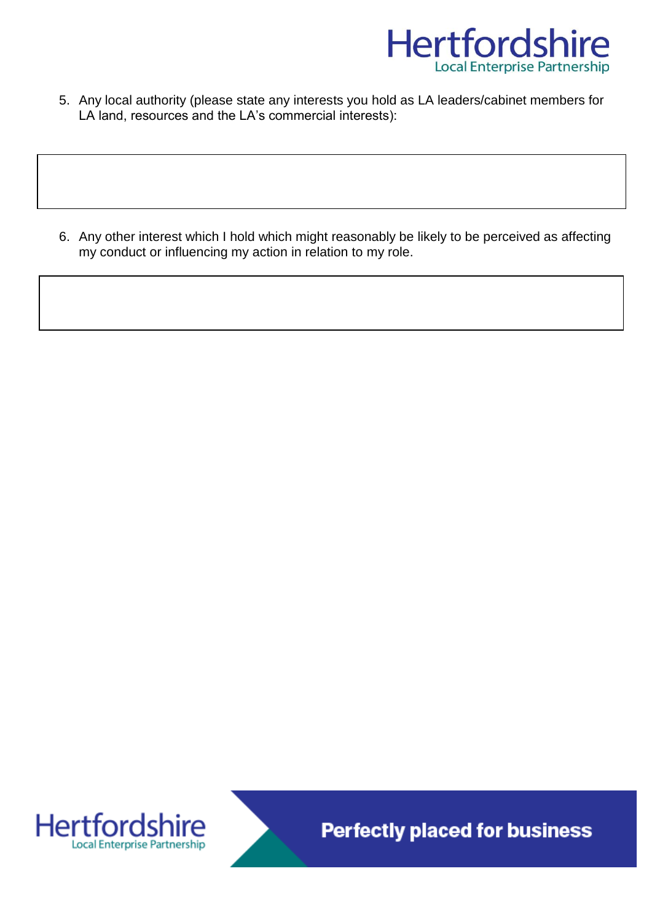

5. Any local authority (please state any interests you hold as LA leaders/cabinet members for LA land, resources and the LA's commercial interests):

6. Any other interest which I hold which might reasonably be likely to be perceived as affecting my conduct or influencing my action in relation to my role.